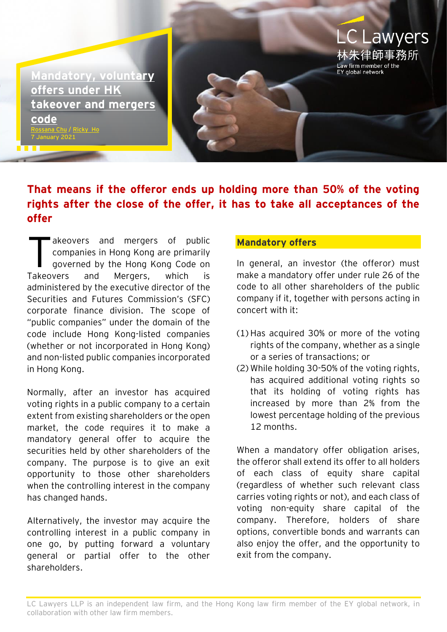**LC Lawyers** ≣師事務所 aw firm member of the EY global network **[Mandatory,](https://www.eylaw.com.hk/en_hk/publications/know-how/mergers-and-acquisitions/mandatory-voluntary-offers-under-hk-takeover-and-mergers-code) voluntary [offers under HK](https://www.eylaw.com.hk/en_hk/publications/know-how/mergers-and-acquisitions/mandatory-voluntary-offers-under-hk-takeover-and-mergers-code)  [takeover and mergers](https://www.eylaw.com.hk/en_hk/publications/know-how/mergers-and-acquisitions/mandatory-voluntary-offers-under-hk-takeover-and-mergers-code) [code](https://www.eylaw.com.hk/en_hk/publications/know-how/mergers-and-acquisitions/mandatory-voluntary-offers-under-hk-takeover-and-mergers-code)** / [Ricky Ho](https://www.eylaw.com.hk/en_hk/people/ricky-ho) 7 January 2021

## **That means if the offeror ends up holding more than 50% of the voting rights after the close of the offer, it has to take all acceptances of the offer**

akeovers and mergers of public companies in Hong Kong are primarily governed by the Hong Kong Code on Takeovers and Mergers, which is administered by the executive director of the Securities and Futures Commission's (SFC) corporate finance division. The scope of "public companies" under the domain of the code include Hong Kong-listed companies (whether or not incorporated in Hong Kong) and non-listed public companies incorporated in Hong Kong. T

Normally, after an investor has acquired voting rights in a public company to a certain extent from existing shareholders or the open market, the code requires it to make a mandatory general offer to acquire the securities held by other shareholders of the company. The purpose is to give an exit opportunity to those other shareholders when the controlling interest in the company has changed hands.

Alternatively, the investor may acquire the controlling interest in a public company in one go, by putting forward a voluntary general or partial offer to the other shareholders.

## **Mandatory offers**

In general, an investor (the offeror) must make a mandatory offer under rule 26 of the code to all other shareholders of the public company if it, together with persons acting in concert with it:

- (1) Has acquired 30% or more of the voting rights of the company, whether as a single or a series of transactions; or
- (2) While holding 30-50% of the voting rights, has acquired additional voting rights so that its holding of voting rights has increased by more than 2% from the lowest percentage holding of the previous 12 months.

When a mandatory offer obligation arises, the offeror shall extend its offer to all holders of each class of equity share capital (regardless of whether such relevant class carries voting rights or not), and each class of voting non-equity share capital of the company. Therefore, holders of share options, convertible bonds and warrants can also enjoy the offer, and the opportunity to exit from the company.

LC Lawyers LLP is an independent law firm, and the Hong Kong law firm member of the EY global network, in collaboration with other law firm members.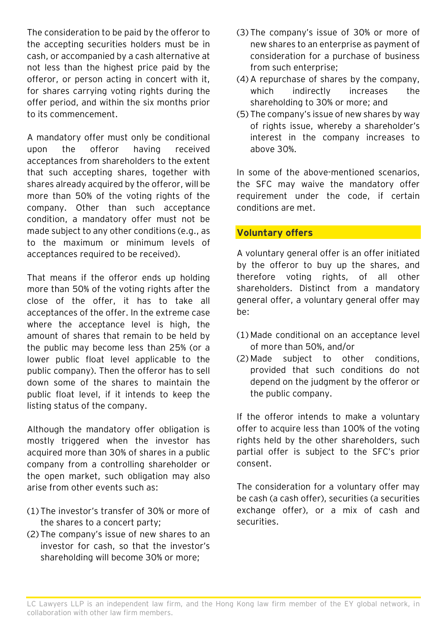The consideration to be paid by the offeror to the accepting securities holders must be in cash, or accompanied by a cash alternative at not less than the highest price paid by the offeror, or person acting in concert with it, for shares carrying voting rights during the offer period, and within the six months prior to its commencement.

A mandatory offer must only be conditional upon the offeror having received acceptances from shareholders to the extent that such accepting shares, together with shares already acquired by the offeror, will be more than 50% of the voting rights of the company. Other than such acceptance condition, a mandatory offer must not be made subject to any other conditions (e.g., as to the maximum or minimum levels of acceptances required to be received).

That means if the offeror ends up holding more than 50% of the voting rights after the close of the offer, it has to take all acceptances of the offer. In the extreme case where the acceptance level is high, the amount of shares that remain to be held by the public may become less than 25% (or a lower public float level applicable to the public company). Then the offeror has to sell down some of the shares to maintain the public float level, if it intends to keep the listing status of the company.

Although the mandatory offer obligation is mostly triggered when the investor has acquired more than 30% of shares in a public company from a controlling shareholder or the open market, such obligation may also arise from other events such as:

- (1) The investor's transfer of 30% or more of the shares to a concert party;
- (2) The company's issue of new shares to an investor for cash, so that the investor's shareholding will become 30% or more;
- (3) The company's issue of 30% or more of new shares to an enterprise as payment of consideration for a purchase of business from such enterprise;
- (4) A repurchase of shares by the company, which indirectly increases the shareholding to 30% or more; and
- (5) The company's issue of new shares by way of rights issue, whereby a shareholder's interest in the company increases to above 30%.

In some of the above-mentioned scenarios, the SFC may waive the mandatory offer requirement under the code, if certain conditions are met.

## **Voluntary offers**

A voluntary general offer is an offer initiated by the offeror to buy up the shares, and therefore voting rights, of all other shareholders. Distinct from a mandatory general offer, a voluntary general offer may be:

- (1) Made conditional on an acceptance level of more than 50%, and/or
- (2) Made subject to other conditions, provided that such conditions do not depend on the judgment by the offeror or the public company.

If the offeror intends to make a voluntary offer to acquire less than 100% of the voting rights held by the other shareholders, such partial offer is subject to the SFC's prior consent.

The consideration for a voluntary offer may be cash (a cash offer), securities (a securities exchange offer), or a mix of cash and securities.